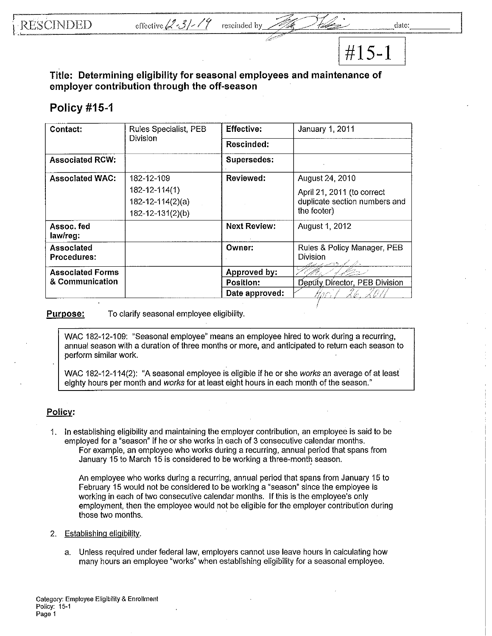**#ls-1** 

**Title: Determining eligibility for seasonal employees and maintenance of employer contribution through the off-season** 

## **Policy #15-1**

| Contact:                         | Rules Specialist, PEB<br>Division | <b>Effective:</b>   | January 1, 2011                                   |
|----------------------------------|-----------------------------------|---------------------|---------------------------------------------------|
|                                  |                                   | Rescinded:          |                                                   |
| <b>Associated RCW:</b>           |                                   | Supersedes:         |                                                   |
| <b>Associated WAC:</b>           | 182-12-109                        | Reviewed:           | August 24, 2010                                   |
|                                  | $182 - 12 - 114(1)$               |                     | April 21, 2011 (to correct                        |
|                                  | $182 - 12 - 114(2)(a)$            |                     | duplicate section numbers and                     |
|                                  | 182-12-131(2)(b)                  |                     | the footer)                                       |
| Assoc. fed<br>law/reg:           |                                   | <b>Next Review:</b> | August 1, 2012                                    |
| Associated<br><b>Procedures:</b> |                                   | Owner:              | Rules & Policy Manager, PEB<br>Division<br>えつまよせい |
| <b>Associated Forms</b>          |                                   | Approved by:        |                                                   |
| & Communication                  |                                   | <b>Position:</b>    | Deputy Director, PEB Division                     |
|                                  |                                   | Date approved:      | <u>E.</u> 201<br>mar.                             |

Purpose: To clarify seasonal employee eligibility.

WAC 182-12-109: "Seasonal employee" means an employee hired to work during a recurring, annual season with a duration of three months or more, and anticipated to return each season to perform similar work.

WAC 182-12-114(2): "A seasonal employee is eligible if he or she *works* an average of at least eighty hours per month and *works* for at least eight hours in each month of the season,"

## **Policy:**

1. Jn establishing eligibility and maintaining the employer contribution, an employee is said to be employed for a "season" if he or she works in each of 3 consecutive calendar months, For example, an employee who works during a recurring, annual period that spans from January 15 to March 15 is considered to be working a three-month season.

An employee who works during a recurring, annual period that spans from January 15 to February 15 would not be considered to be working a "season" since the employee is working in each of two consecutive calendar months. If this is the employee's only employment, then the employee would not be eligible for the employer contribution during those two months,

- 2, Establishing eligibility,
	- a. Unless required under federal law, employers cannot use leave hours in calculating how many hours an employee "works" when establishing eligibility for a seasonal employee.